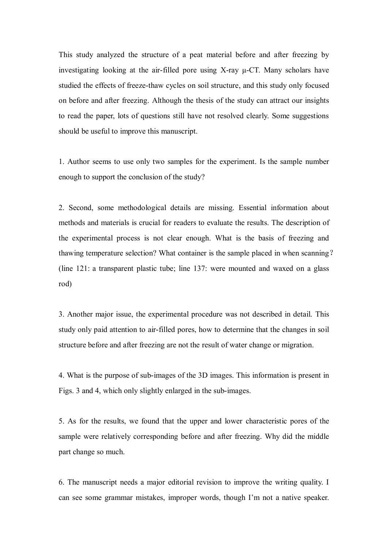This study analyzed the structure of a peat material before and after freezing by investigating looking at the air-filled pore using X-ray μ-CT. Many scholars have studied the effects of freeze-thaw cycles on soil structure, and this study only focused on before and after freezing. Although the thesis of the study can attract our insights to read the paper, lots of questions still have not resolved clearly. Some suggestions should be useful to improve this manuscript.

1. Author seems to use only two samples for the experiment. Is the sample number enough to support the conclusion of the study?

2. Second, some methodological details are missing. Essential information about methods and materials is crucial for readers to evaluate the results. The description of the experimental process is not clear enough. What is the basis of freezing and thawing temperature selection? What container is the sample placed in when scanning? (line 121: a transparent plastic tube; line 137: were mounted and waxed on a glass rod)

3. Another major issue, the experimental procedure was not described in detail. This study only paid attention to air-filled pores, how to determine that the changes in soil structure before and after freezing are not the result of water change or migration.

4. What is the purpose of sub-images of the 3D images. This information is present in Figs. 3 and 4, which only slightly enlarged in the sub-images.

5. As for the results, we found that the upper and lower characteristic pores of the sample were relatively corresponding before and after freezing. Why did the middle part change so much.

6. The manuscript needs a major editorial revision to improve the writing quality. I can see some grammar mistakes, improper words, though I'm not a native speaker.